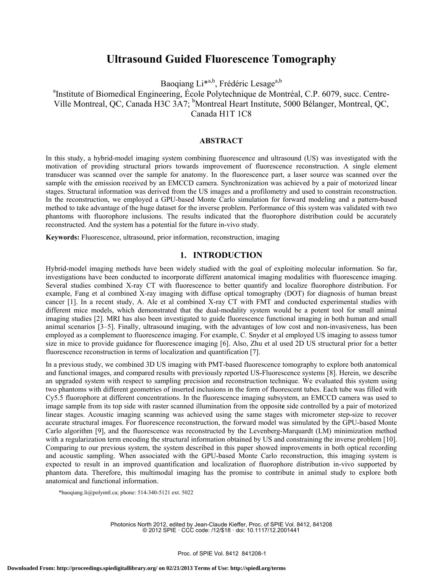# **Ultrasound Guided Fluorescence Tomography**

Baoqiang Li\*a,b, Frédéric Lesage<sup>a,b</sup>

<sup>a</sup>Institute of Biomedical Engineering, École Polytechnique de Montréal, C.P. 6079, succ. Centre-Ville Montreal, QC, Canada H3C 3A7; Montreal Heart Institute, 5000 Bélanger, Montreal, QC, Canada H1T 1C8

### **ABSTRACT**

In this study, a hybrid-model imaging system combining fluorescence and ultrasound (US) was investigated with the motivation of providing structural priors towards improvement of fluorescence reconstruction. A single element transducer was scanned over the sample for anatomy. In the fluorescence part, a laser source was scanned over the sample with the emission received by an EMCCD camera. Synchronization was achieved by a pair of motorized linear stages. Structural information was derived from the US images and a profilometry and used to constrain reconstruction. In the reconstruction, we employed a GPU-based Monte Carlo simulation for forward modeling and a pattern-based method to take advantage of the huge dataset for the inverse problem. Performance of this system was validated with two phantoms with fluorophore inclusions. The results indicated that the fluorophore distribution could be accurately reconstructed. And the system has a potential for the future in-vivo study.

**Keywords:** Fluorescence, ultrasound, prior information, reconstruction, imaging

# **1. INTRODUCTION**

Hybrid-model imaging methods have been widely studied with the goal of exploiting molecular information. So far, investigations have been conducted to incorporate different anatomical imaging modalities with fluorescence imaging. Several studies combined X-ray CT with fluorescence to better quantify and localize fluorophore distribution. For example, Fang et al combined X-ray imaging with diffuse optical tomography (DOT) for diagnosis of human breast cancer [1]. In a recent study, A. Ale et al combined X-ray CT with FMT and conducted experimental studies with different mice models, which demonstrated that the dual-modality system would be a potent tool for small animal imaging studies [2]. MRI has also been investigated to guide fluorescence functional imaging in both human and small animal scenarios [3–5]. Finally, ultrasound imaging, with the advantages of low cost and non-invasiveness, has been employed as a complement to fluorescence imaging. For example, C. Snyder et al employed US imaging to assess tumor size in mice to provide guidance for fluorescence imaging [6]. Also, Zhu et al used 2D US structural prior for a better fluorescence reconstruction in terms of localization and quantification [7].

In a previous study, we combined 3D US imaging with PMT-based fluorescence tomography to explore both anatomical and functional images, and compared results with previously reported US-Fluorescence systems [8]. Herein, we describe an upgraded system with respect to sampling precision and reconstruction technique. We evaluated this system using two phantoms with different geometries of inserted inclusions in the form of fluorescent tubes. Each tube was filled with Cy5.5 fluorophore at different concentrations. In the fluorescence imaging subsystem, an EMCCD camera was used to image sample from its top side with raster scanned illumination from the opposit**e** side controlled by a pair of motorized linear stages. Acoustic imaging scanning was achieved using the same stages with micrometer step-size to recover accurate structural images. For fluorescence reconstruction, the forward model was simulated by the GPU-based Monte Carlo algorithm [9], and the fluorescence was reconstructed by the Levenberg-Marquardt (LM) minimization method with a regularization term encoding the structural information obtained by US and constraining the inverse problem [10]. Comparing to our previous system, the system described in this paper showed improvements in both optical recording and acoustic sampling. When associated with the GPU-based Monte Carlo reconstruction, this imaging system is expected to result in an improved quantification and localization of fluorophore distribution in-vivo supported by phantom data. Therefore, this multimodal imaging has the promise to contribute in animal study to explore both anatomical and functional information.

\*baoqiang.li@polymtl.ca; phone: 514-340-5121 ext. 5022

Photonics North 2012, edited by Jean-Claude Kieffer, Proc. of SPIE Vol. 8412, 841208 © 2012 SPIE · CCC code: /12/\$18 · doi: 10.1117/12.2001441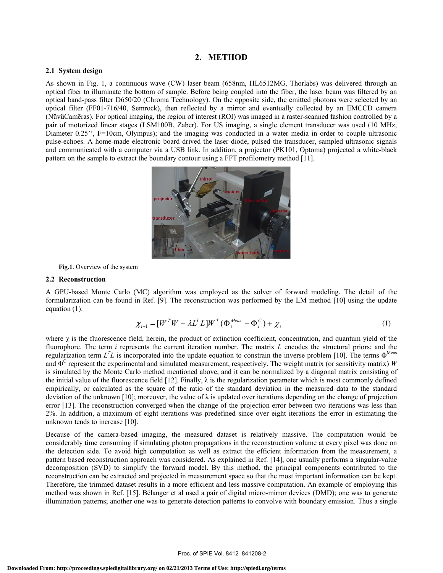### **2. METHOD**

# **2.1 System design**

As shown in Fig. 1, a continuous wave (CW) laser beam (658nm, HL6512MG, Thorlabs) was delivered through an optical fiber to illuminate the bottom of sample. Before being coupled into the fiber, the laser beam was filtered by an optical band-pass filter D650/20 (Chroma Technology). On the opposite side, the emitted photons were selected by an optical filter (FF01-716/40, Semrock), then reflected by a mirror and eventually collected by an EMCCD camera (NüvüCamēras). For optical imaging, the region of interest (ROI) was imaged in a raster-scanned fashion controlled by a pair of motorized linear stages (LSM100B, Zaber). For US imaging, a single element transducer was used (10 MHz, Diameter 0.25", F=10cm, Olympus); and the imaging was conducted in a water media in order to couple ultrasonic pulse-echoes. A home-made electronic board drived the laser diode, pulsed the transducer, sampled ultrasonic signals and communicated with a computer via a USB link. In addition, a projector (PK101, Optoma) projected a white-black pattern on the sample to extract the boundary contour using a FFT profilometry method [11].



**Fig.1**. Overview of the system

#### **2.2 Reconstruction**

A GPU-based Monte Carlo (MC) algorithm was employed as the solver of forward modeling. The detail of the formularization can be found in Ref. [9]. The reconstruction was performed by the LM method [10] using the update equation (1):

$$
\chi_{i+1} = [W^T W + \lambda L^T L] W^T (\Phi_i^{\text{Meas}} - \Phi_i^C) + \chi_i
$$
 (1)

where  $\chi$  is the fluorescence field, herein, the product of extinction coefficient, concentration, and quantum yield of the fluorophore. The term *i* represents the current iteration number. The matrix *L* encodes the structural priors; and the regularization term  $L^T L$  is incorporated into the update equation to constrain the inverse problem [10]. The terms  $\Phi^{\text{Meas}}$ and  $\Phi^C$  represent the experimental and simulated measurement, respectively. The weight matrix (or sensitivity matrix) *W* is simulated by the Monte Carlo method mentioned above, and it can be normalized by a diagonal matrix consisting of the initial value of the fluorescence field [12]. Finally,  $\lambda$  is the regularization parameter which is most commonly defined empirically, or calculated as the square of the ratio of the standard deviation in the measured data to the standard deviation of the unknown [10]; moreover, the value of  $\lambda$  is updated over iterations depending on the change of projection error [13]. The reconstruction converged when the change of the projection error between two iterations was less than 2%. In addition, a maximum of eight iterations was predefined since over eight iterations the error in estimating the unknown tends to increase [10].

Because of the camera-based imaging, the measured dataset is relatively massive. The computation would be considerably time consuming if simulating photon propagations in the reconstruction volume at every pixel was done on the detection side. To avoid high computation as well as extract the efficient information from the measurement, a pattern based reconstruction approach was considered. As explained in Ref. [14], one usually performs a singular-value decomposition (SVD) to simplify the forward model. By this method, the principal components contributed to the reconstruction can be extracted and projected in measurement space so that the most important information can be kept. Therefore, the trimmed dataset results in a more efficient and less massive computation. An example of employing this method was shown in Ref. [15]. Bélanger et al used a pair of digital micro-mirror devices (DMD); one was to generate illumination patterns; another one was to generate detection patterns to convolve with boundary emission. Thus a single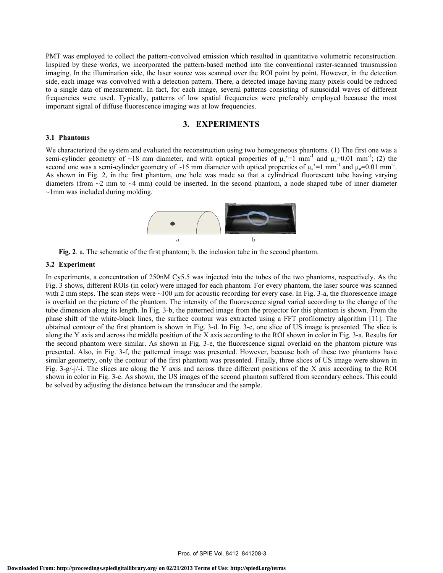PMT was employed to collect the pattern-convolved emission which resulted in quantitative volumetric reconstruction. Inspired by these works, we incorporated the pattern-based method into the conventional raster-scanned transmission imaging. In the illumination side, the laser source was scanned over the ROI point by point. However, in the detection side, each image was convolved with a detection pattern. There, a detected image having many pixels could be reduced to a single data of measurement. In fact, for each image, several patterns consisting of sinusoidal waves of different frequencies were used. Typically, patterns of low spatial frequencies were preferably employed because the most important signal of diffuse fluorescence imaging was at low frequencies.

### **3. EXPERIMENTS**

#### **3.1 Phantoms**

We characterized the system and evaluated the reconstruction using two homogeneous phantoms. (1) The first one was a semi-cylinder geometry of ~18 mm diameter, and with optical properties of  $\mu_s$ '=1 mm<sup>-1</sup> and  $\mu_a$ =0.01 mm<sup>-1</sup>; (2) the second one was a semi-cylinder geometry of ~15 mm diameter with optical properties of  $\mu_s$ '=1 mm<sup>-1</sup> and  $\mu_a$ =0.01 mm<sup>-1</sup>. As shown in Fig. 2, in the first phantom, one hole was made so that a cylindrical fluorescent tube having varying diameters (from  $\sim$ 2 mm to  $\sim$ 4 mm) could be inserted. In the second phantom, a node shaped tube of inner diameter  $\sim$ 1mm was included during molding.



**Fig. 2**. a. The schematic of the first phantom; b. the inclusion tube in the second phantom.

### **3.2 Experiment**

In experiments, a concentration of 250nM Cy5.5 was injected into the tubes of the two phantoms, respectively. As the Fig. 3 shows, different ROIs (in color) were imaged for each phantom. For every phantom, the laser source was scanned with 2 mm steps. The scan steps were  $\sim$ 100  $\mu$ m for acoustic recording for every case. In Fig. 3-a, the fluorescence image is overlaid on the picture of the phantom. The intensity of the fluorescence signal varied according to the change of the tube dimension along its length. In Fig. 3-b, the patterned image from the projector for this phantom is shown. From the phase shift of the white-black lines, the surface contour was extracted using a FFT profilometry algorithm [11]. The obtained contour of the first phantom is shown in Fig. 3-d. In Fig. 3-c, one slice of US image is presented. The slice is along the Y axis and across the middle position of the X axis according to the ROI shown in color in Fig. 3-a. Results for the second phantom were similar. As shown in Fig. 3-e, the fluorescence signal overlaid on the phantom picture was presented. Also, in Fig. 3-f, the patterned image was presented. However, because both of these two phantoms have similar geometry, only the contour of the first phantom was presented. Finally, three slices of US image were shown in Fig. 3-g/-j/-i. The slices are along the Y axis and across three different positions of the X axis according to the ROI shown in color in Fig. 3-e. As shown, the US images of the second phantom suffered from secondary echoes. This could be solved by adjusting the distance between the transducer and the sample.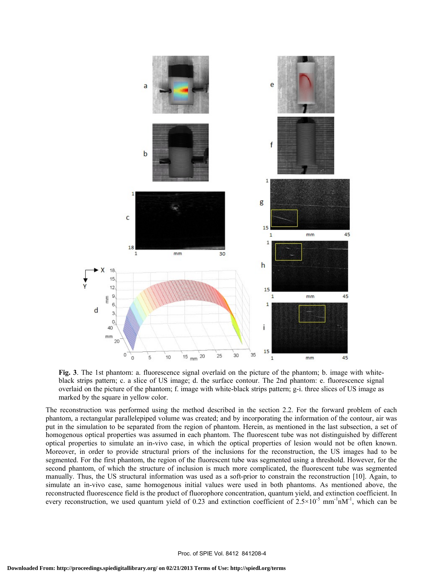

**Fig. 3**. The 1st phantom: a. fluorescence signal overlaid on the picture of the phantom; b. image with whiteblack strips pattern; c. a slice of US image; d. the surface contour. The 2nd phantom: e. fluorescence signal overlaid on the picture of the phantom; f. image with white-black strips pattern; g-i. three slices of US image as marked by the square in yellow color.

The reconstruction was performed using the method described in the section 2.2. For the forward problem of each phantom, a rectangular parallelepiped volume was created; and by incorporating the information of the contour, air was put in the simulation to be separated from the region of phantom. Herein, as mentioned in the last subsection, a set of homogenous optical properties was assumed in each phantom. The fluorescent tube was not distinguished by different optical properties to simulate an in-vivo case, in which the optical properties of lesion would not be often known. Moreover, in order to provide structural priors of the inclusions for the reconstruction, the US images had to be segmented. For the first phantom, the region of the fluorescent tube was segmented using a threshold. However, for the second phantom, of which the structure of inclusion is much more complicated, the fluorescent tube was segmented manually. Thus, the US structural information was used as a soft-prior to constrain the reconstruction [10]. Again, to simulate an in-vivo case, same homogenous initial values were used in both phantoms. As mentioned above, the reconstructed fluorescence field is the product of fluorophore concentration, quantum yield, and extinction coefficient. In every reconstruction, we used quantum yield of 0.23 and extinction coefficient of  $2.5 \times 10^{-5}$  mm<sup>-1</sup>nM<sup>-1</sup>, which can be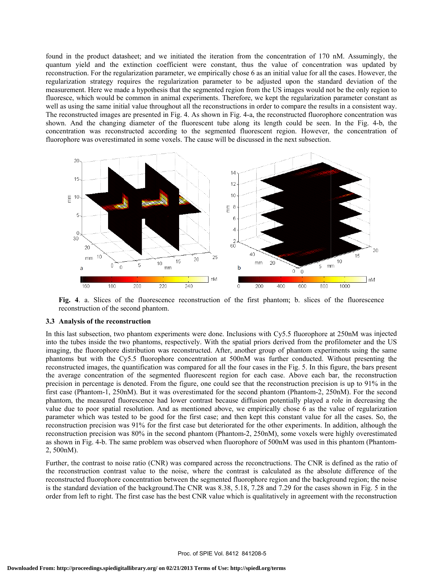found in the product datasheet; and we initiated the iteration from the concentration of 170 nM. Assumingly, the quantum yield and the extinction coefficient were constant, thus the value of concentration was updated by reconstruction. For the regularization parameter, we empirically chose 6 as an initial value for all the cases. However, the regularization strategy requires the regularization parameter to be adjusted upon the standard deviation of the measurement. Here we made a hypothesis that the segmented region from the US images would not be the only region to fluoresce, which would be common in animal experiments. Therefore, we kept the regularization parameter constant as well as using the same initial value throughout all the reconstructions in order to compare the results in a consistent way. The reconstructed images are presented in Fig. 4. As shown in Fig. 4-a, the reconstructed fluorophore concentration was shown. And the changing diameter of the fluorescent tube along its length could be seen. In the Fig. 4-b, the concentration was reconstructed according to the segmented fluorescent region. However, the concentration of fluorophore was overestimated in some voxels. The cause will be discussed in the next subsection.



Fig. 4. a. Slices of the fluorescence reconstruction of the first phantom; b. slices of the fluorescence reconstruction of the second phantom.

#### **3.3 Analysis of the reconstruction**

In this last subsection, two phantom experiments were done. Inclusions with Cy5.5 fluorophore at 250nM was injected into the tubes inside the two phantoms, respectively. With the spatial priors derived from the profilometer and the US imaging, the fluorophore distribution was reconstructed. After, another group of phantom experiments using the same phantoms but with the Cy5.5 fluorophore concentration at 500nM was further conducted. Without presenting the reconstructed images, the quantification was compared for all the four cases in the Fig. 5. In this figure, the bars present the average concentration of the segmented fluorescent region for each case. Above each bar, the reconstruction precision in percentage is denoted. From the figure, one could see that the reconstruction precision is up to 91% in the first case (Phantom-1, 250nM). But it was overestimated for the second phantom (Phantom-2, 250nM). For the second phantom, the measured fluorescence had lower contrast because diffusion potentially played a role in decreasing the value due to poor spatial resolution. And as mentioned above, we empirically chose 6 as the value of regularization parameter which was tested to be good for the first case; and then kept this constant value for all the cases. So, the reconstruction precision was 91% for the first case but deteriorated for the other experiments. In addition, although the reconstruction precision was 80% in the second phantom (Phantom-2, 250nM), some voxels were highly overestimated as shown in Fig. 4-b. The same problem was observed when fluorophore of 500nM was used in this phantom (Phantom-2, 500nM).

Further, the contrast to noise ratio (CNR) was compared across the reconctructions. The CNR is defined as the ratio of the reconstruction contrast value to the noise, where the contrast is calculated as the absolute difference of the reconstructed fluorophore concentration between the segmented fluorophore region and the background region; the noise is the standard deviation of the background. The CNR was 8.38, 5.18, 7.28 and 7.29 for the cases shown in Fig. 5 in the order from left to right. The first case has the best CNR value which is qualitatively in agreement with the reconstruction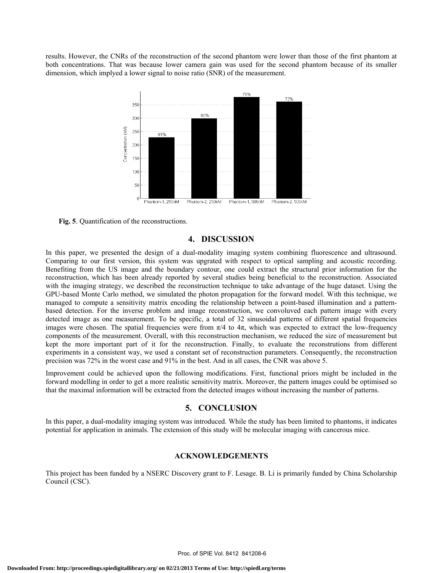results. However, the CNRs of the reconstruction of the second phantom were lower than those of the first phantom at both concentrations. That was because lower camera gain was used for the second phantom because of its smaller dimension, which implyed a lower signal to noise ratio (SNR) of the measurement.



**Fig. 5**. Quantification of the reconstructions.

# **4. DISCUSSION**

In this paper, we presented the design of a dual-modality imaging system combining fluorescence and ultrasound. Comparing to our first version, this system was upgrated with respect to optical sampling and acoustic recording. Benefiting from the US image and the boundary contour, one could extract the structural prior information for the reconstruction, which has been already reported by several studies being beneficial to the reconstruction. Associated with the imaging strategy, we described the reconstruction technique to take advantage of the huge dataset. Using the GPU-based Monte Carlo method, we simulated the photon propagation for the forward model. With this technique, we managed to compute a sensitivity matrix encoding the relationship between a point-based illumination and a patternbased detection. For the inverse problem and image reconstruction, we convoluved each pattern image with every detected image as one measurement. To be specific, a total of 32 sinusoidal patterns of different spatial frequencies images were chosen. The spatial frequencies were from  $\pi/4$  to  $4\pi$ , which was expected to extract the low-frequency components of the measurement. Overall, with this reconstruction mechanism, we reduced the size of measurement but kept the more important part of it for the reconstruction. Finally, to evaluate the reconstrutions from different experiments in a consistent way, we used a constant set of reconstruction parameters. Consequently, the reconstruction precision was 72% in the worst case and 91% in the best. And in all cases, the CNR was above 5.

Improvement could be achieved upon the following modifications. First, functional priors might be included in the forward modelling in order to get a more realistic sensitivity matrix. Moreover, the pattern images could be optimised so that the maximal information will be extracted from the detected images without increasing the number of patterns.

### **5. CONCLUSION**

In this paper, a dual-modality imaging system was introduced. While the study has been limited to phantoms, it indicates potential for application in animals. The extension of this study will be molecular imaging with cancerous mice.

#### **ACKNOWLEDGEMENTS**

This project has been funded by a NSERC Discovery grant to F. Lesage. B. Li is primarily funded by China Scholarship Council (CSC).